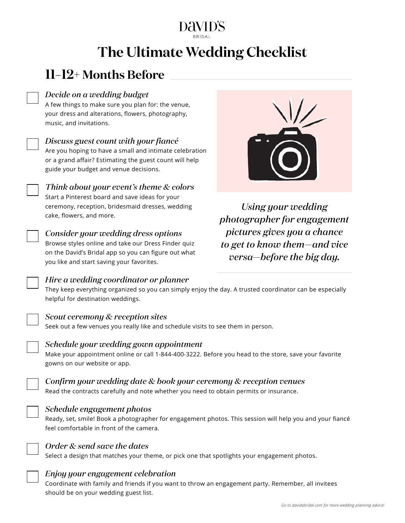# **The Ultimate Wedding Checklist**

# **11–12+ Months Before**

### *Decide on a wedding budget*

A few things to make sure you plan for: the venue, your dress and alterations, flowers, photography, music, and invitations.



*Discuss guest count with your fiancé*

Are you hoping to have a small and intimate celebration or a grand affair? Estimating the guest count will help guide your budget and venue decisions.

*Think about your event's theme & colors* Start a Pinterest board and save ideas for your ceremony, reception, bridesmaid dresses, wedding cake, flowers, and more.



#### *Consider your wedding dress options*

Browse styles online and take our Dress Finder quiz on the David's Bridal app so you can figure out what you like and start saving your favorites.

*Hire a wedding coordinator or planner*



*Using your wedding photographer for engagement pictures gives you a chance to get to know them—and vice versa—before the big day.*

They keep everything organized so you can simply enjoy the day. A trusted coordinator can be especially helpful for destination weddings.

#### *Scout ceremony & reception sites*

Seek out a few venues you really like and schedule visits to see them in person.



# *Schedule your wedding gown appointment*

Make your appointment online or call 1-844-400-3222. Before you head to the store, save your favorite gowns on our website or app.



# *Confirm your wedding date & book your ceremony & reception venues*

Read the contracts carefully and note whether you need to obtain permits or insurance.



# *Schedule engagement photos*

Ready, set, smile! Book a photographer for engagement photos. This session will help you and your fiancé feel comfortable in front of the camera.



#### *Order & send save the dates*

Select a design that matches your theme, or pick one that spotlights your engagement photos.



# *Enjoy your engagement celebration*

Coordinate with family and friends if you want to throw an engagement party. Remember, all invitees should be on your wedding guest list.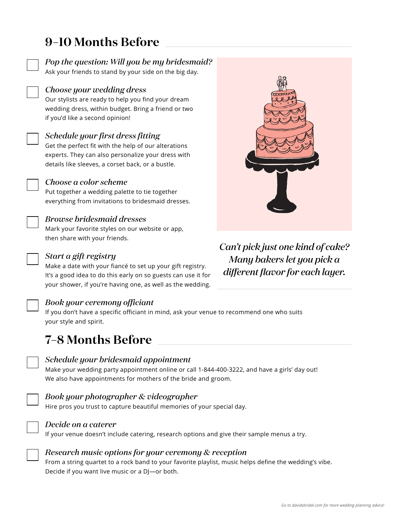# **9–10 Months Before**

*Pop the question: Will you be my bridesmaid?*

Ask your friends to stand by your side on the big day.

### *Choose your wedding dress*

Our stylists are ready to help you find your dream wedding dress, within budget. Bring a friend or two if you'd like a second opinion!



# *Schedule your first dress fitting*

Get the perfect fit with the help of our alterations experts. They can also personalize your dress with details like sleeves, a corset back, or a bustle.



Put together a wedding palette to tie together everything from invitations to bridesmaid dresses.

# *Browse bridesmaid dresses*

Mark your favorite styles on our website or app, then share with your friends.

# *Start a gift registry*

Make a date with your fiancé to set up your gift registry. It's a good idea to do this early on so guests can use it for your shower, if you're having one, as well as the wedding.



# *Book your ceremony officiant*

If you don't have a specific officiant in mind, ask your venue to recommend one who suits your style and spirit.

# **7–8 Months Before**

#### *Schedule your bridesmaid appointment*

Make your wedding party appointment online or call 1-844-400-3222, and have a girls' day out! We also have appointments for mothers of the bride and groom.

#### *Book your photographer & videographer*

Hire pros you trust to capture beautiful memories of your special day.



### *Decide on a caterer*

If your venue doesn't include catering, research options and give their sample menus a try.



#### *Research music options for your ceremony & reception*

From a string quartet to a rock band to your favorite playlist, music helps define the wedding's vibe. Decide if you want live music or a DJ—or both.



*Can't pick just one kind of cake? Many bakers let you pick a different flavor for each layer.*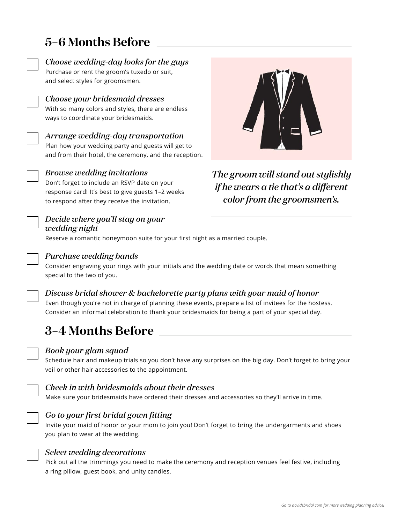# **5–6 Months Before**

and select styles for groomsmen.



*Choose wedding-day looks for the guys* Purchase or rent the groom's tuxedo or suit,



#### *Choose your bridesmaid dresses*

With so many colors and styles, there are endless ways to coordinate your bridesmaids.



# *Arrange wedding-day transportation*

Plan how your wedding party and guests will get to and from their hotel, the ceremony, and the reception.



# *Browse wedding invitations*

Don't forget to include an RSVP date on your response card! It's best to give guests 1–2 weeks to respond after they receive the invitation.



*The groom will stand out stylishly if he wears a tie that's a different color from the groomsmen's.*



#### *Decide where you'll stay on your wedding night*

Reserve a romantic honeymoon suite for your first night as a married couple.



# *Purchase wedding bands*

Consider engraving your rings with your initials and the wedding date or words that mean something special to the two of you.



# *Discuss bridal shower & bachelorette party plans with your maid of honor*

Even though you're not in charge of planning these events, prepare a list of invitees for the hostess. Consider an informal celebration to thank your bridesmaids for being a part of your special day.

# **3–4 Months Before**



#### *Book your glam squad*

Schedule hair and makeup trials so you don't have any surprises on the big day. Don't forget to bring your veil or other hair accessories to the appointment.



# *Check in with bridesmaids about their dresses*

Make sure your bridesmaids have ordered their dresses and accessories so they'll arrive in time.



# *Go to your first bridal gown fitting*

Invite your maid of honor or your mom to join you! Don't forget to bring the undergarments and shoes you plan to wear at the wedding.



#### *Select wedding decorations*

Pick out all the trimmings you need to make the ceremony and reception venues feel festive, including a ring pillow, guest book, and unity candles.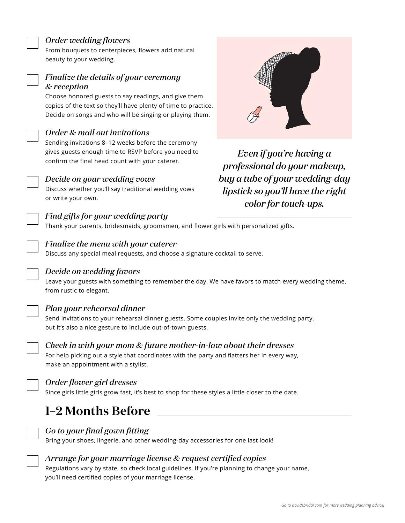#### *Order wedding flowers*

From bouquets to centerpieces, flowers add natural beauty to your wedding.

### *Finalize the details of your ceremony & reception*

Choose honored guests to say readings, and give them copies of the text so they'll have plenty of time to practice. Decide on songs and who will be singing or playing them.



Sending invitations 8–12 weeks before the ceremony gives guests enough time to RSVP before you need to confirm the final head count with your caterer.



#### *Decide on your wedding vows*

Discuss whether you'll say traditional wedding vows or write your own.



Thank your parents, bridesmaids, groomsmen, and flower girls with personalized gifts.



#### *Finalize the menu with your caterer*

Discuss any special meal requests, and choose a signature cocktail to serve.



#### *Decide on wedding favors*

Leave your guests with something to remember the day. We have favors to match every wedding theme, from rustic to elegant.



#### *Plan your rehearsal dinner*

Send invitations to your rehearsal dinner guests. Some couples invite only the wedding party, but it's also a nice gesture to include out-of-town guests.



# *Check in with your mom & future mother-in-law about their dresses*

For help picking out a style that coordinates with the party and flatters her in every way, make an appointment with a stylist.



#### *Order flower girl dresses*

Since girls little girls grow fast, it's best to shop for these styles a little closer to the date.

# **1–2 Months Before**



#### *Go to your final gown fitting*

Bring your shoes, lingerie, and other wedding-day accessories for one last look!



#### *Arrange for your marriage license & request certified copies*

Regulations vary by state, so check local guidelines. If you're planning to change your name, you'll need certified copies of your marriage license.



*Even if you're having a professional do your makeup, buy a tube of your wedding-day lipstick so you'll have the right color for touch-ups.*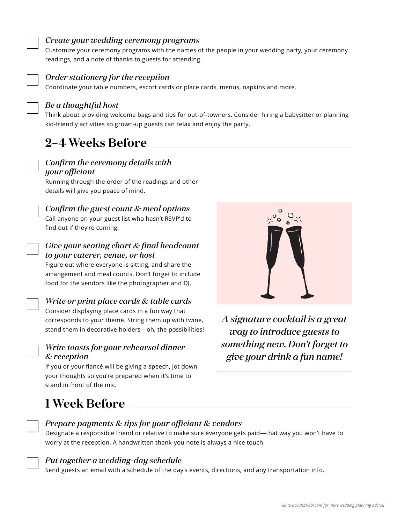#### *Create your wedding ceremony programs*

Customize your ceremony programs with the names of the people in your wedding party, your ceremony readings, and a note of thanks to guests for attending.



#### *Order stationery for the reception*

Coordinate your table numbers, escort cards or place cards, menus, napkins and more.



#### *Be a thoughtful host*

Think about providing welcome bags and tips for out-of-towners. Consider hiring a babysitter or planning kid-friendly activities so grown-up guests can relax and enjoy the party.

# **2–4 Weeks Before**



#### *Confirm the ceremony details with your officiant*

Running through the order of the readings and other details will give you peace of mind.



# *Confirm the guest count & meal options*

Call anyone on your guest list who hasn't RSVP'd to find out if they're coming.

#### *Give your seating chart & final headcount to your caterer, venue, or host*

Figure out where everyone is sitting, and share the arrangement and meal counts. Don't forget to include food for the vendors like the photographer and DJ.

#### *Write or print place cards & table cards*

Consider displaying place cards in a fun way that corresponds to your theme. String them up with twine, stand them in decorative holders—oh, the possibilities!

#### *Write toasts for your rehearsal dinner & reception*

If you or your fiancé will be giving a speech, jot down your thoughts so you're prepared when it's time to stand in front of the mic.



*A signature cocktail is a great way to introduce guests to something new. Don't forget to give your drink a fun name!*

# **1 Week Before**

#### *Prepare payments & tips for your officiant & vendors*

Designate a responsible friend or relative to make sure everyone gets paid—that way you won't have to worry at the reception. A handwritten thank-you note is always a nice touch.

#### *Put together a wedding-day schedule*

Send guests an email with a schedule of the day's events, directions, and any transportation info.